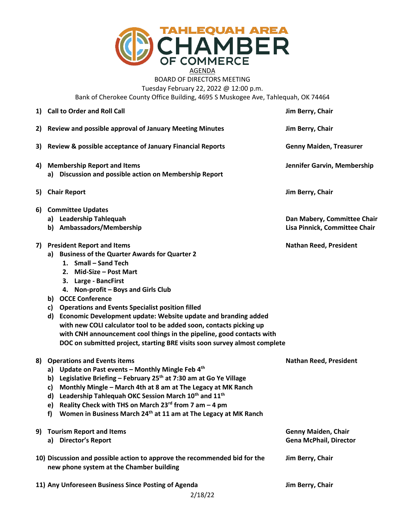

## AGENDA BOARD OF DIRECTORS MEETING Tuesday February 22, 2022 @ 12:00 p.m.

Bank of Cherokee County Office Building, 4695 S Muskogee Ave, Tahlequah, OK 74464

|    | 1) Call to Order and Roll Call                                                                                                                                                                                                                                                                                                                                                                                                                                                                                                                                                                 | Jim Berry, Chair                                             |
|----|------------------------------------------------------------------------------------------------------------------------------------------------------------------------------------------------------------------------------------------------------------------------------------------------------------------------------------------------------------------------------------------------------------------------------------------------------------------------------------------------------------------------------------------------------------------------------------------------|--------------------------------------------------------------|
| 2) | Review and possible approval of January Meeting Minutes                                                                                                                                                                                                                                                                                                                                                                                                                                                                                                                                        | Jim Berry, Chair                                             |
| 3) | Review & possible acceptance of January Financial Reports                                                                                                                                                                                                                                                                                                                                                                                                                                                                                                                                      | <b>Genny Maiden, Treasurer</b>                               |
| 4) | <b>Membership Report and Items</b><br>a) Discussion and possible action on Membership Report                                                                                                                                                                                                                                                                                                                                                                                                                                                                                                   | Jennifer Garvin, Membership                                  |
| 5) | <b>Chair Report</b>                                                                                                                                                                                                                                                                                                                                                                                                                                                                                                                                                                            | Jim Berry, Chair                                             |
| 6) | <b>Committee Updates</b><br>a) Leadership Tahlequah<br>b) Ambassadors/Membership                                                                                                                                                                                                                                                                                                                                                                                                                                                                                                               | Dan Mabery, Committee Chair<br>Lisa Pinnick, Committee Chair |
|    | 7) President Report and Items<br>a) Business of the Quarter Awards for Quarter 2<br>1. Small - Sand Tech<br>2. Mid-Size - Post Mart<br>3. Large - BancFirst<br>4. Non-profit - Boys and Girls Club<br>b) OCCE Conference<br><b>Operations and Events Specialist position filled</b><br>c)<br>Economic Development update: Website update and branding added<br>d)<br>with new COLI calculator tool to be added soon, contacts picking up<br>with CNH announcement cool things in the pipeline, good contacts with<br>DOC on submitted project, starting BRE visits soon survey almost complete | <b>Nathan Reed, President</b>                                |
| 8) | <b>Operations and Events items</b><br>a) Update on Past events - Monthly Mingle Feb 4th<br>b) Legislative Briefing - February 25 <sup>th</sup> at 7:30 am at Go Ye Village<br>Monthly Mingle - March 4th at 8 am at The Legacy at MK Ranch<br>c)<br>Leadership Tahlequah OKC Session March 10th and 11th<br>d)<br>Reality Check with THS on March $23^{rd}$ from 7 am - 4 pm<br>e)<br>Women in Business March 24 <sup>th</sup> at 11 am at The Legacy at MK Ranch<br>f                                                                                                                         | <b>Nathan Reed, President</b>                                |
|    | 9) Tourism Report and Items<br>a) Director's Report                                                                                                                                                                                                                                                                                                                                                                                                                                                                                                                                            | <b>Genny Maiden, Chair</b><br><b>Gena McPhail, Director</b>  |
|    | 10) Discussion and possible action to approve the recommended bid for the<br>new phone system at the Chamber building                                                                                                                                                                                                                                                                                                                                                                                                                                                                          | Jim Berry, Chair                                             |
|    | 11) Any Unforeseen Business Since Posting of Agenda                                                                                                                                                                                                                                                                                                                                                                                                                                                                                                                                            | Jim Berry, Chair                                             |